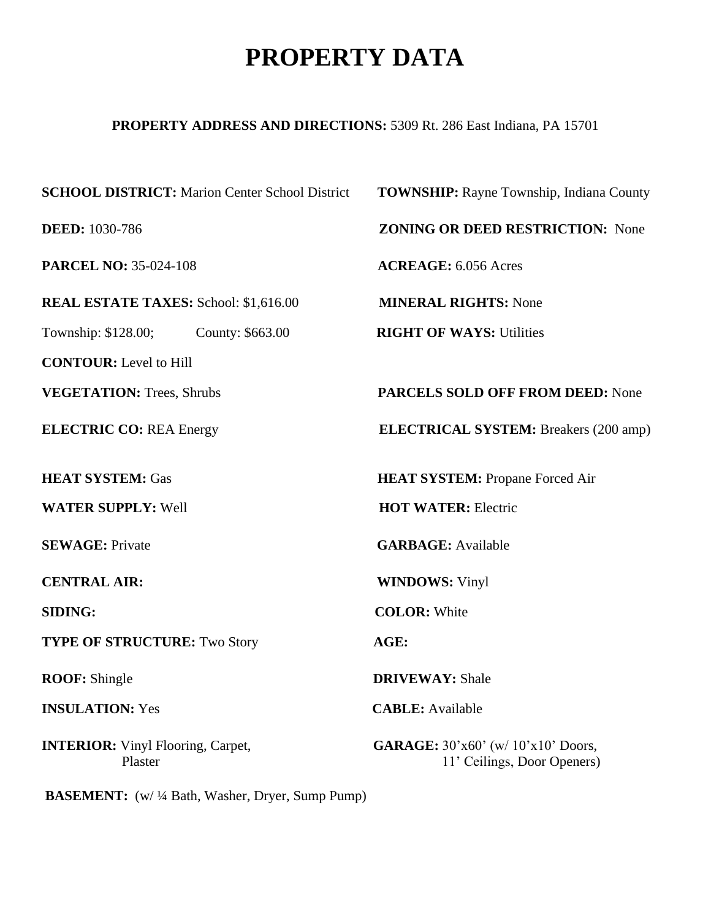## **PROPERTY DATA**

## **PROPERTY ADDRESS AND DIRECTIONS:** 5309 Rt. 286 East Indiana, PA 15701

| <b>SCHOOL DISTRICT:</b> Marion Center School District | <b>TOWNSHIP:</b> Rayne Township, Indiana County                                            |
|-------------------------------------------------------|--------------------------------------------------------------------------------------------|
| <b>DEED:</b> 1030-786                                 | <b>ZONING OR DEED RESTRICTION: None</b>                                                    |
| <b>PARCEL NO: 35-024-108</b>                          | <b>ACREAGE:</b> 6.056 Acres                                                                |
| <b>REAL ESTATE TAXES: School: \$1,616.00</b>          | <b>MINERAL RIGHTS: None</b>                                                                |
| Township: \$128.00;<br>County: \$663.00               | <b>RIGHT OF WAYS: Utilities</b>                                                            |
| <b>CONTOUR:</b> Level to Hill                         |                                                                                            |
| <b>VEGETATION:</b> Trees, Shrubs                      | <b>PARCELS SOLD OFF FROM DEED: None</b>                                                    |
| <b>ELECTRIC CO: REA Energy</b>                        | <b>ELECTRICAL SYSTEM:</b> Breakers (200 amp)                                               |
| <b>HEAT SYSTEM: Gas</b>                               | <b>HEAT SYSTEM: Propane Forced Air</b>                                                     |
| <b>WATER SUPPLY: Well</b>                             | <b>HOT WATER: Electric</b>                                                                 |
| <b>SEWAGE: Private</b>                                | <b>GARBAGE:</b> Available                                                                  |
| <b>CENTRAL AIR:</b>                                   | <b>WINDOWS: Vinyl</b>                                                                      |
| <b>SIDING:</b>                                        | <b>COLOR: White</b>                                                                        |
| <b>TYPE OF STRUCTURE: Two Story</b>                   | AGE:                                                                                       |
| <b>ROOF:</b> Shingle                                  | <b>DRIVEWAY: Shale</b>                                                                     |
| <b>INSULATION: Yes</b>                                | <b>CABLE:</b> Available                                                                    |
| <b>INTERIOR:</b> Vinyl Flooring, Carpet,<br>Plaster   | <b>GARAGE:</b> $30' \times 60'$ (w/ $10' \times 10'$ Doors,<br>11' Ceilings, Door Openers) |

**BASEMENT:** (w/ ¼ Bath, Washer, Dryer, Sump Pump)